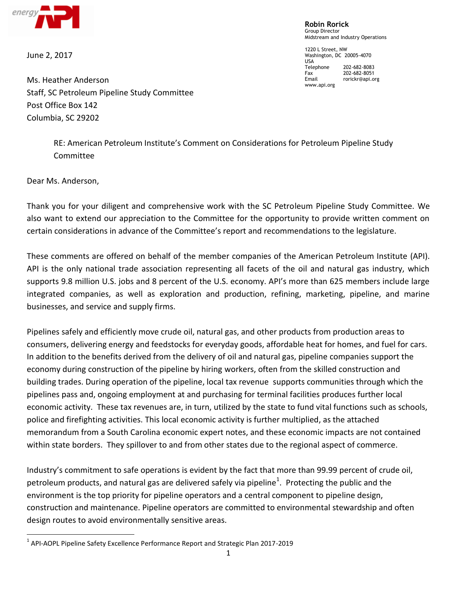

June 2, 2017

**Robin Rorick** Group Director Midstream and Industry Operations

1220 L Street, NW Washington, DC 20005-4070 USA<br>Telephone 202-682-8083 Fax 202-682-8051<br>Email rorickr@api.o rorickr@api.org www.api.org

Ms. Heather Anderson Staff, SC Petroleum Pipeline Study Committee Post Office Box 142 Columbia, SC 29202

> RE: American Petroleum Institute's Comment on Considerations for Petroleum Pipeline Study Committee

Dear Ms. Anderson,

 $\overline{a}$ 

Thank you for your diligent and comprehensive work with the SC Petroleum Pipeline Study Committee. We also want to extend our appreciation to the Committee for the opportunity to provide written comment on certain considerations in advance of the Committee's report and recommendations to the legislature.

These comments are offered on behalf of the member companies of the American Petroleum Institute (API). API is the only national trade association representing all facets of the oil and natural gas industry, which supports 9.8 million U.S. jobs and 8 percent of the U.S. economy. API's more than 625 members include large integrated companies, as well as exploration and production, refining, marketing, pipeline, and marine businesses, and service and supply firms.

Pipelines safely and efficiently move crude oil, natural gas, and other products from production areas to consumers, delivering energy and feedstocks for everyday goods, affordable heat for homes, and fuel for cars. In addition to the benefits derived from the delivery of oil and natural gas, pipeline companies support the economy during construction of the pipeline by hiring workers, often from the skilled construction and building trades. During operation of the pipeline, local tax revenue supports communities through which the pipelines pass and, ongoing employment at and purchasing for terminal facilities produces further local economic activity. These tax revenues are, in turn, utilized by the state to fund vital functions such as schools, police and firefighting activities. This local economic activity is further multiplied, as the attached memorandum from a South Carolina economic expert notes, and these economic impacts are not contained within state borders. They spillover to and from other states due to the regional aspect of commerce.

Industry's commitment to safe operations is evident by the fact that more than 99.99 percent of crude oil, petroleum products, and natural gas are delivered safely via pipeline<sup>1</sup>. Protecting the public and the environment is the top priority for pipeline operators and a central component to pipeline design, construction and maintenance. Pipeline operators are committed to environmental stewardship and often design routes to avoid environmentally sensitive areas.

<sup>&</sup>lt;sup>1</sup> API-AOPL Pipeline Safety Excellence Performance Report and Strategic Plan 2017-2019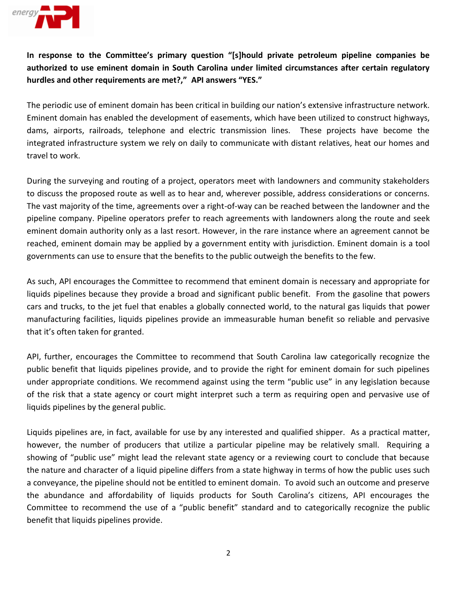

**In response to the Committee's primary question "[s]hould private petroleum pipeline companies be authorized to use eminent domain in South Carolina under limited circumstances after certain regulatory hurdles and other requirements are met?," API answers "YES."**

The periodic use of eminent domain has been critical in building our nation's extensive infrastructure network. Eminent domain has enabled the development of easements, which have been utilized to construct highways, dams, airports, railroads, telephone and electric transmission lines. These projects have become the integrated infrastructure system we rely on daily to communicate with distant relatives, heat our homes and travel to work.

During the surveying and routing of a project, operators meet with landowners and community stakeholders to discuss the proposed route as well as to hear and, wherever possible, address considerations or concerns. The vast majority of the time, agreements over a right-of-way can be reached between the landowner and the pipeline company. Pipeline operators prefer to reach agreements with landowners along the route and seek eminent domain authority only as a last resort. However, in the rare instance where an agreement cannot be reached, eminent domain may be applied by a government entity with jurisdiction. Eminent domain is a tool governments can use to ensure that the benefits to the public outweigh the benefits to the few.

As such, API encourages the Committee to recommend that eminent domain is necessary and appropriate for liquids pipelines because they provide a broad and significant public benefit. From the gasoline that powers cars and trucks, to the jet fuel that enables a globally connected world, to the natural gas liquids that power manufacturing facilities, liquids pipelines provide an immeasurable human benefit so reliable and pervasive that it's often taken for granted.

API, further, encourages the Committee to recommend that South Carolina law categorically recognize the public benefit that liquids pipelines provide, and to provide the right for eminent domain for such pipelines under appropriate conditions. We recommend against using the term "public use" in any legislation because of the risk that a state agency or court might interpret such a term as requiring open and pervasive use of liquids pipelines by the general public.

Liquids pipelines are, in fact, available for use by any interested and qualified shipper. As a practical matter, however, the number of producers that utilize a particular pipeline may be relatively small. Requiring a showing of "public use" might lead the relevant state agency or a reviewing court to conclude that because the nature and character of a liquid pipeline differs from a state highway in terms of how the public uses such a conveyance, the pipeline should not be entitled to eminent domain. To avoid such an outcome and preserve the abundance and affordability of liquids products for South Carolina's citizens, API encourages the Committee to recommend the use of a "public benefit" standard and to categorically recognize the public benefit that liquids pipelines provide.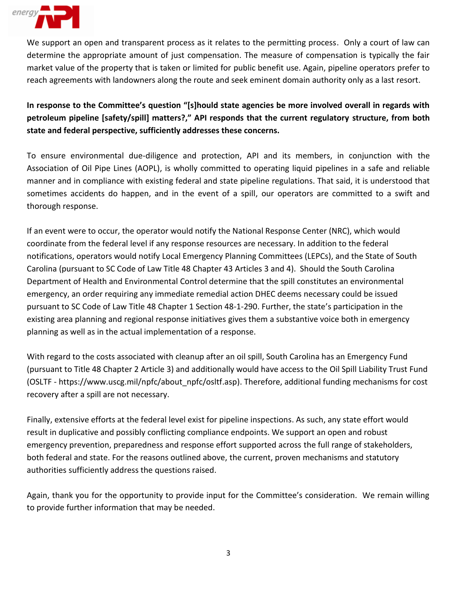

We support an open and transparent process as it relates to the permitting process. Only a court of law can determine the appropriate amount of just compensation. The measure of compensation is typically the fair market value of the property that is taken or limited for public benefit use. Again, pipeline operators prefer to reach agreements with landowners along the route and seek eminent domain authority only as a last resort.

**In response to the Committee's question "[s]hould state agencies be more involved overall in regards with petroleum pipeline [safety/spill] matters?," API responds that the current regulatory structure, from both state and federal perspective, sufficiently addresses these concerns.**

To ensure environmental due-diligence and protection, API and its members, in conjunction with the Association of Oil Pipe Lines (AOPL), is wholly committed to operating liquid pipelines in a safe and reliable manner and in compliance with existing federal and state pipeline regulations. That said, it is understood that sometimes accidents do happen, and in the event of a spill, our operators are committed to a swift and thorough response.

If an event were to occur, the operator would notify the National Response Center (NRC), which would coordinate from the federal level if any response resources are necessary. In addition to the federal notifications, operators would notify Local Emergency Planning Committees (LEPCs), and the State of South Carolina (pursuant to SC Code of Law Title 48 Chapter 43 Articles 3 and 4). Should the South Carolina Department of Health and Environmental Control determine that the spill constitutes an environmental emergency, an order requiring any immediate remedial action DHEC deems necessary could be issued pursuant to SC Code of Law Title 48 Chapter 1 Section 48-1-290. Further, the state's participation in the existing area planning and regional response initiatives gives them a substantive voice both in emergency planning as well as in the actual implementation of a response.

With regard to the costs associated with cleanup after an oil spill, South Carolina has an Emergency Fund (pursuant to Title 48 Chapter 2 Article 3) and additionally would have access to the Oil Spill Liability Trust Fund (OSLTF - https://www.uscg.mil/npfc/about\_npfc/osltf.asp). Therefore, additional funding mechanisms for cost recovery after a spill are not necessary.

Finally, extensive efforts at the federal level exist for pipeline inspections. As such, any state effort would result in duplicative and possibly conflicting compliance endpoints. We support an open and robust emergency prevention, preparedness and response effort supported across the full range of stakeholders, both federal and state. For the reasons outlined above, the current, proven mechanisms and statutory authorities sufficiently address the questions raised.

Again, thank you for the opportunity to provide input for the Committee's consideration. We remain willing to provide further information that may be needed.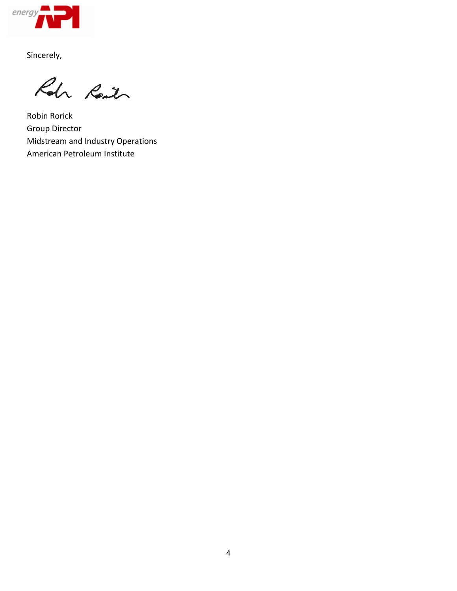

Sincerely,

Roh Reit

Robin Rorick Group Director Midstream and Industry Operations American Petroleum Institute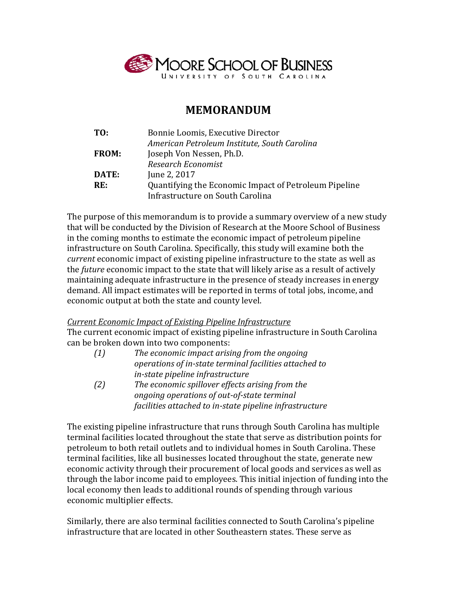

## **MEMORANDUM**

| TO:          | Bonnie Loomis, Executive Director                     |
|--------------|-------------------------------------------------------|
|              | American Petroleum Institute, South Carolina          |
| <b>FROM:</b> | Joseph Von Nessen, Ph.D.                              |
|              | Research Economist                                    |
| DATE:        | June 2, 2017                                          |
| RE:          | Quantifying the Economic Impact of Petroleum Pipeline |
|              | Infrastructure on South Carolina                      |

The purpose of this memorandum is to provide a summary overview of a new study that will be conducted by the Division of Research at the Moore School of Business in the coming months to estimate the economic impact of petroleum pipeline infrastructure on South Carolina. Specifically, this study will examine both the *current* economic impact of existing pipeline infrastructure to the state as well as the *future* economic impact to the state that will likely arise as a result of actively maintaining adequate infrastructure in the presence of steady increases in energy demand. All impact estimates will be reported in terms of total jobs, income, and economic output at both the state and county level.

## *Current Economic Impact of Existing Pipeline Infrastructure*

The current economic impact of existing pipeline infrastructure in South Carolina can be broken down into two components:

| (1) | The economic impact arising from the ongoing            |
|-----|---------------------------------------------------------|
|     | operations of in-state terminal facilities attached to  |
|     | in-state pipeline infrastructure                        |
| (2) | The economic spillover effects arising from the         |
|     | ongoing operations of out-of-state terminal             |
|     | facilities attached to in-state pipeline infrastructure |

The existing pipeline infrastructure that runs through South Carolina has multiple terminal facilities located throughout the state that serve as distribution points for petroleum to both retail outlets and to individual homes in South Carolina. These terminal facilities, like all businesses located throughout the state, generate new economic activity through their procurement of local goods and services as well as through the labor income paid to employees. This initial injection of funding into the local economy then leads to additional rounds of spending through various economic multiplier effects.

Similarly, there are also terminal facilities connected to South Carolina's pipeline infrastructure that are located in other Southeastern states. These serve as